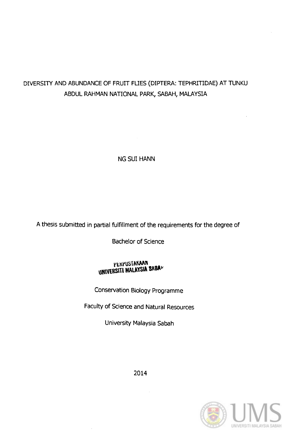# DIVERSITY AND ABUNDANCE OF FRUIT FUES (DIPTERA: TEPHRITIDAE) AT TUNKU ABDUL RAHMAN NATIONAL PARK, SABAH, MALAYSIA

NG SUI HANN

A thesis submitted in partial fulfillment of the requirements for the degree of

Bachelor of Science

# PERPUSTAKAAN<br>UNIVERSITI MALAYSIA SABAP

Conservation Biology Programme

Faculty of Science and Natural Resources

University Malaysia Sabah



2014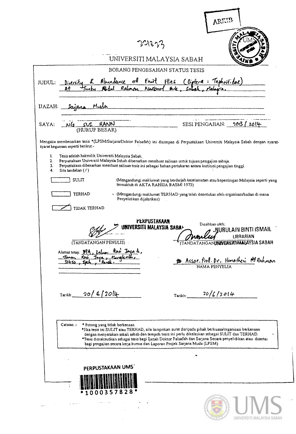|                                  |                                                                                                                                                                                                                                                                                                                                                                                                                                                   |                                                         | ARKII                                 |                                                                                         |
|----------------------------------|---------------------------------------------------------------------------------------------------------------------------------------------------------------------------------------------------------------------------------------------------------------------------------------------------------------------------------------------------------------------------------------------------------------------------------------------------|---------------------------------------------------------|---------------------------------------|-----------------------------------------------------------------------------------------|
|                                  |                                                                                                                                                                                                                                                                                                                                                                                                                                                   |                                                         |                                       |                                                                                         |
|                                  |                                                                                                                                                                                                                                                                                                                                                                                                                                                   | 22823                                                   |                                       |                                                                                         |
|                                  |                                                                                                                                                                                                                                                                                                                                                                                                                                                   | UNIVERSITI MALAYSIA SABAH                               |                                       |                                                                                         |
|                                  |                                                                                                                                                                                                                                                                                                                                                                                                                                                   | BORANG PENGESAHAN STATUS TESIS                          |                                       |                                                                                         |
| JUDUL:                           |                                                                                                                                                                                                                                                                                                                                                                                                                                                   |                                                         |                                       |                                                                                         |
|                                  | Diversity & Abundance of Fruit Flies (Diptera: Tephnitidae)<br>At Junky Nodul Rahmon Nackboart Ark, Sabah, Malaysia.                                                                                                                                                                                                                                                                                                                              |                                                         |                                       |                                                                                         |
| IJAZAH:                          | Mude<br>Savars                                                                                                                                                                                                                                                                                                                                                                                                                                    |                                                         |                                       |                                                                                         |
| SAYA:                            | NG SVI HANN                                                                                                                                                                                                                                                                                                                                                                                                                                       |                                                         | <b>SESI PENGAJIAN:</b>                | 2013/2014                                                                               |
|                                  | (HURUF BESAR)                                                                                                                                                                                                                                                                                                                                                                                                                                     |                                                         |                                       |                                                                                         |
|                                  | Mengaku membenarkan tesis *(LPSM/Sarjana/Doktor Falsafah) ini disimpan di Perpustakaan Universiti Malaysia Sabah dengan syarat-<br>syarat kegunaan seperti berikut:-                                                                                                                                                                                                                                                                              |                                                         |                                       |                                                                                         |
| 1.<br>2 <sub>1</sub><br>3.<br>4. | Tesis adalah hakmilik Universiti Malaysia Sabah.<br>Perpustakaan Universiti Malaysia Sabah dibenarkan membuat salinan untuk tujuan pengajian sahaja.<br>Perpustakaan dibenarkan membuat salinan tesis ini sebagai bahan pertukaran antara instinsi pengajian tinggi.<br>Sila tandakan (/)                                                                                                                                                         |                                                         |                                       |                                                                                         |
|                                  | SULIT                                                                                                                                                                                                                                                                                                                                                                                                                                             | termaktub di AKTA RAHSIA RASMI 1972)                    |                                       | (Mengandungi maklumat yang berdarjah keselamatan atau kepentingan Malaysia seperti yang |
|                                  | TERHAD                                                                                                                                                                                                                                                                                                                                                                                                                                            |                                                         |                                       | » (Mengandungi maklumat TERHAD yang telah ditentukan oleh organisasi/badan di mana      |
|                                  | Penyelidikan dijalankan)<br><b>TIDAK TERHAD</b>                                                                                                                                                                                                                                                                                                                                                                                                   |                                                         |                                       |                                                                                         |
|                                  |                                                                                                                                                                                                                                                                                                                                                                                                                                                   |                                                         |                                       |                                                                                         |
|                                  |                                                                                                                                                                                                                                                                                                                                                                                                                                                   | <b><i>PERPUSTAKAAN</i></b><br>UNIVERSITI MALAYSIA SABA¤ | Disahkan oleh:                        | .NURULAIN BINTI ISMAIL                                                                  |
|                                  | (TANDATANGAN PENULIS)                                                                                                                                                                                                                                                                                                                                                                                                                             |                                                         |                                       | <b>MALLEY</b> LIBRARIAN<br>(TANDATANGAN <b>UNIVERSITIWAALAYSIA SABAH</b>                |
|                                  | Alamat tetap: 39A, Lalus Ras Jaya 4,                                                                                                                                                                                                                                                                                                                                                                                                              |                                                         |                                       |                                                                                         |
|                                  | Tanen Rasi Jaya, Menglember<br>31456, Joch, Pengle.                                                                                                                                                                                                                                                                                                                                                                                               |                                                         | NAMA PENYELIA                         | B Assoc. Prob. Dr. Homatheri At Rahman                                                  |
|                                  |                                                                                                                                                                                                                                                                                                                                                                                                                                                   |                                                         |                                       |                                                                                         |
|                                  | $20/6/20$ l4<br>Tarikh:                                                                                                                                                                                                                                                                                                                                                                                                                           |                                                         | Tarikh: $\frac{20/6/2014}{\sqrt{20}}$ |                                                                                         |
|                                  |                                                                                                                                                                                                                                                                                                                                                                                                                                                   |                                                         |                                       |                                                                                         |
|                                  |                                                                                                                                                                                                                                                                                                                                                                                                                                                   |                                                         |                                       |                                                                                         |
|                                  | Catatan :-<br>* Potong yang tidak berkenaan.<br>*Jika tesis ini SULIT atau TERHAD, sila lampirkan surat daripada pihak berkuasa/organisasi berkenaan<br>dengan menyatakan sekali sebab dan tempoh tesis ini perlu dikelaskan sebagai SULIT dan TERHAD.<br>*Tesis dimaksudkan sebagai tesis bagi Ijazah Doktor Falsafah dan Sarjana Secara penyelidikan atau disertai<br>bagi pengajian secara kerja kursus dan Laporan Projek Sarjana Muda (LPSM) |                                                         |                                       |                                                                                         |
|                                  |                                                                                                                                                                                                                                                                                                                                                                                                                                                   |                                                         |                                       |                                                                                         |
|                                  |                                                                                                                                                                                                                                                                                                                                                                                                                                                   |                                                         |                                       |                                                                                         |
|                                  | PERPUSTAKAAN UMS                                                                                                                                                                                                                                                                                                                                                                                                                                  |                                                         |                                       |                                                                                         |
|                                  |                                                                                                                                                                                                                                                                                                                                                                                                                                                   |                                                         |                                       |                                                                                         |
|                                  | 1000357828                                                                                                                                                                                                                                                                                                                                                                                                                                        |                                                         |                                       |                                                                                         |
|                                  |                                                                                                                                                                                                                                                                                                                                                                                                                                                   |                                                         |                                       |                                                                                         |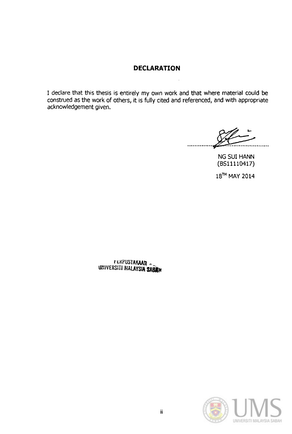# **DECLARATION**

I declare that this thesis is entirely my own work and that where material could be construed as the work of others, it is fully cited and referenced, and with appropriate acknowledgement given.

.............. ~ ...... .

NG SUI HANN (8511110417)

18<sup>TH</sup> MAY 2014

r LXPUSTAKAAN llmVERSITJ **MALAYSIASAUff** 

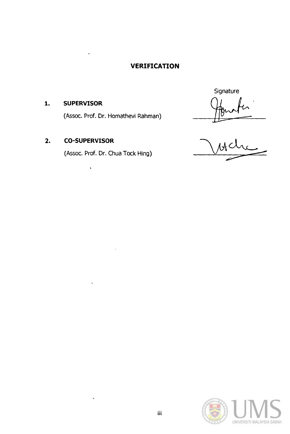# **VERIFICATION**

# **1. SUPERVISOR**

(Assoc. Prof. Dr. Homathevi Rahman)  $\sqrt{1000 + 7}$ 

# **2. CO-SUPERVISOR**

 $\ddot{\phantom{0}}$ 

 $\ddot{\phantom{0}}$ 

(Assoc. Prof. Dr. Chua Tock Hing)

**Signature** 

 $uc$ 

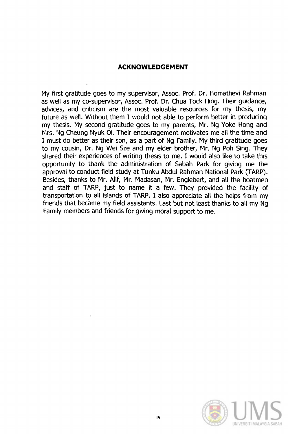# **ACKNOWLEDGEMENT**

My first gratitude goes to my supervisor, Assoc. Prof. Dr. Homathevi Rahman as well as my co-supervisor, Assoc. Prof. Dr. Chua Tock Hing. Their quidance, advices, and criticism are the most valuable resources for my thesis, my future as well. Without them I would not able to perform better in producing my thesis. My second gratitude goes to my parents, Mr. Ng Yoke Hong and Mrs. Ng Cheung Nyuk Oi. Their encouragement motivates me all the time and I must do better as their son, as a part of Ng Family. My third gratitude goes to my cousin, Dr. Ng Wei Sze and my elder brother, Mr. Ng Poh Sing. They shared their experiences of writing thesis to me. I would also like to take this opportunity to thank the administration of Sabah Park for giving me the approval to conduct field study at Tunku Abdul Rahman National Park (TARP). Besides, thanks to Mr. Alif, Mr. Madasan, Mr. Englebert, and all the boatmen and staff of TARP, just to name it a few. They provided the facility of transportation to all islands of TARP. I also appreciate all the helps from my friends that became my field assistants. Last but not least thanks to all my Ng Family members and friends for giving moral support to me.

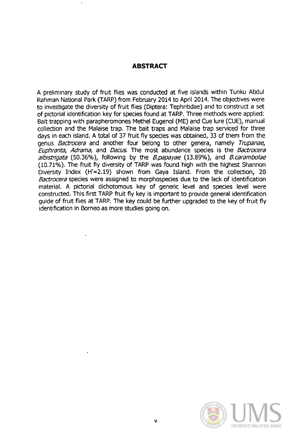## **ABSTRACT**

A preliminary study of fruit flies was conducted at five islands within Tunku Abdul Rahman National Park (TARP) from February 2014 to April 2014. The objectives were to investigate the diversity of fruit flies (Diptera: Tephritidae) and to construct a set of pictorial identification key for species found at TARP. Three methods were applied: Bait trapping with parapheromones Methel Eugenol (ME) and Cue lure (CUE), manual collection and the Malaise trap. The bait traps and Malaise trap serviced for three days in each island. A total of 37 fruit fly species was obtained, 33 of them from the genus *Bactrocera* and another four belong to other genera, namely *Trupanae*, Euphranta, Adrama, and Dacus. The most abundance species is the Bactrocera albistrigata (50.36%), following by the *B.papayae* (13.89%), and *B.carambolae* (10.71%). The fruit fly diversity of TARP was found high with the highest Shannon Diversity Index (H'=2.19) shown from Gaya Island. From the collection, 20 Bactrocera species were assigned to morphospecies due to the lack of identification material. A pictorial dichotomous key of generic level and species level were constructed. This first TARP fruit fly key is important to provide general identification guide of fruit flies at TARP. The key could be further upgraded to the key of fruit fly identification in Borneo as more studies going on.

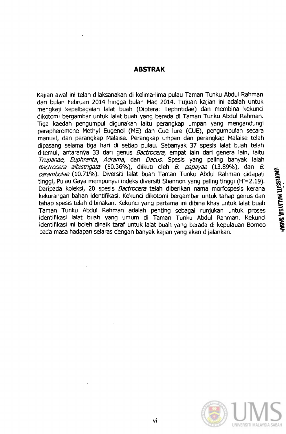# **ABSTRAK**

Kajian awal ini telah dilaksanakan di kelima-lima pulau Taman Tunku Abdul Rahman dari bulan Februari 2014 hingga bulan Mac 2014. Tujuan kajian ini adalah untuk mengkaji kepelbagaian lalat buah (Diptera: Tephritidae) dan membina kekunci dikotomi bergambar untuk lalat buah yang berada di Taman Tunku Abdul Rahman. Tiga kaedah pengumpul digunakan iaitu perangkap umpan yang mengandungi parapheromone Methyl Eugenol (ME) dan Cue lure (CUE), pengumpulan secara manual, dan perangkap Malaise. Perangkap umpan dan perangkap Malaise telah dipasang selama tiga hari di setiap pulau. Sebanyak 37 spesis lalat buah telah ditemui, antaranya 33 dari genus Bactrocera, empat lain dari genera lain, iaitu Trupanae, Euphranta, Adrama, dan Dacus. Spesis yang paling banyak ialah Bactrocera albistrigata (50.36%), diikuti oleh B. papayae (13.89%), dan B. carambolae (10.71%). Diversiti lalat buah Taman Tunku Abdul Rahman didapati tinggi, Pulau Gaya mempunyai indeks diversiti Shannon yang paling tinggi (H'=2.19). Daripada koleksi, 20 spesis Bactrocera telah diberikan nama morfospesis kerana kekurangan bahan identifikasi. Kekund dikotomi bergambar untuk tahap genus dan tahap spesis telah dibinakan. Kekunci yang pertama ini dibina khas untuk lalat buah Taman Tunku Abdul Rahman adalah penting sebagai runjukan untuk proses identifikasi lalat buah yang umum di Taman Tunku Abdul Rahman. Kekunci identifikasi ini boleh dinaik taraf untuk lalat buah yang berada di kepulauan Borneo pada masa hadapan selaras dengan banyak kajian yang akan dijalankan.

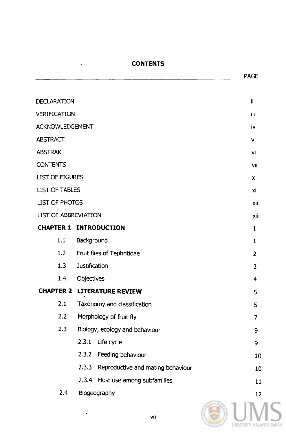## **CONTENTS**

 $\ddot{\phantom{0}}$ 

| <b>DECLARATION</b>          |                                            | ii             |  |
|-----------------------------|--------------------------------------------|----------------|--|
| VERIFICATION                |                                            |                |  |
| <b>ACKNOWLEDGEMENT</b>      |                                            | iv             |  |
| <b>ABSTRACT</b>             |                                            | $\mathbf{v}$   |  |
| <b>ABSTRAK</b>              |                                            | vi             |  |
| <b>CONTENTS</b>             |                                            | vii            |  |
| <b>LIST OF FIGURES</b>      |                                            | X              |  |
| <b>LIST OF TABLES</b>       |                                            | xi             |  |
| LIST OF PHOTOS              |                                            |                |  |
| <b>LIST OF ABBREVIATION</b> |                                            | xiii           |  |
|                             | <b>CHAPTER 1 INTRODUCTION</b>              | $\mathbf{1}$   |  |
| 1.1                         | Background                                 | $\mathbf{1}$   |  |
| 1.2                         | Fruit flies of Tephritidae                 | $\overline{2}$ |  |
| <b>Justification</b><br>1.3 |                                            |                |  |
| 1.4<br>Objectives           |                                            |                |  |
| <b>CHAPTER 2</b>            | <b>LITERATURE REVIEW</b>                   | 5              |  |
| 2.1                         | Taxonomy and classification                | 5              |  |
| 2.2                         | Morphology of fruit fly                    | $\overline{7}$ |  |
| 2.3                         | Biology, ecology and behaviour             | 9              |  |
|                             | 2.3.1<br>Life cycle                        | 9              |  |
|                             | 2.3.2<br>Feeding behaviour                 | 10             |  |
|                             | 2.3.3<br>Reproductive and mating behaviour | 10             |  |
|                             | 2.3.4 Host use among subfamilies           | 11             |  |
| 2.4<br>Biogeography         |                                            | 12             |  |



PAGE

 $\hat{\mathbf{v}}$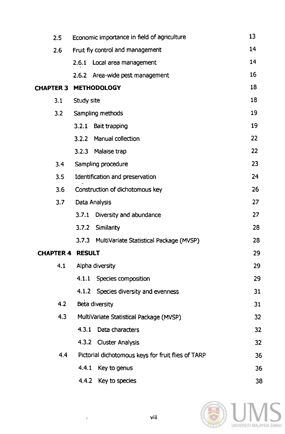| 2.5                     | Economic importance in field of agriculture        | 13 |
|-------------------------|----------------------------------------------------|----|
| 2.6                     | Fruit fly control and management                   | 14 |
|                         | 2.6.1 Local area management                        | 14 |
|                         | 2.6.2 Area-wide pest management                    | 16 |
| <b>CHAPTER 3</b>        | <b>METHODOLOGY</b>                                 | 18 |
| 3.1                     | Study site                                         | 18 |
| 3.2                     | Sampling methods                                   | 19 |
|                         | 3.2.1<br>Bait trapping                             | 19 |
|                         | Manual collection<br>3.2.2                         | 22 |
|                         | 3.2.3<br>Malaise trap                              | 22 |
| 3.4                     | Sampling procedure                                 | 23 |
| 3.5                     | Identification and preservation                    | 24 |
| 3.6                     | Construction of dichotomous key                    |    |
| 3.7                     | Data Analysis                                      | 27 |
|                         | 3.7.1<br>Diversity and abundance                   | 27 |
|                         | Similarity<br>3.7.2                                | 28 |
|                         | 3.7.3<br>MultiVariate Statistical Package (MVSP)   | 28 |
| <b>CHAPTER 4 RESULT</b> |                                                    | 29 |
| 4.1                     | Alpha diversity                                    | 29 |
|                         | 4.1.1 Species composition                          | 29 |
|                         | 4.1.2 Species diversity and evenness               | 31 |
| 4.2                     | Beta diversity                                     | 31 |
| 4.3                     | MultiVariate Statistical Package (MVSP)            | 32 |
|                         | 4.3.1<br>Data characters                           | 32 |
|                         | 4.3.2 Cluster Analysis                             | 32 |
| 4.4                     | Pictorial dichotomous keys for fruit flies of TARP | 36 |
|                         | 4.4.1<br>Key to genus                              | 36 |
|                         | 4.4.2 Key to species                               | 38 |



 $\mathcal{L}_{\mathcal{A}}$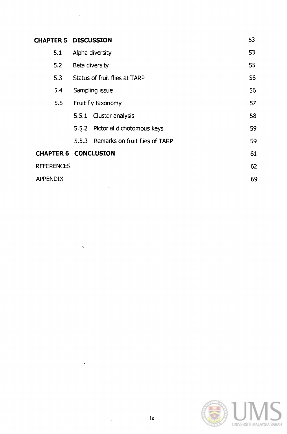|                   | <b>CHAPTER 5 DISCUSSION</b>             |    |  |
|-------------------|-----------------------------------------|----|--|
| 5.1               | Alpha diversity                         | 53 |  |
| 5.2               | Beta diversity                          |    |  |
| 5.3               | <b>Status of fruit flies at TARP</b>    |    |  |
| 5.4               | Sampling issue                          |    |  |
| 5.5               | Fruit fly taxonomy                      |    |  |
|                   | Cluster analysis<br>5.5.1               | 58 |  |
|                   | Pictorial dichotomous keys<br>5.5.2     | 59 |  |
|                   | Remarks on fruit flies of TARP<br>5.5.3 | 59 |  |
|                   | <b>CHAPTER 6 CONCLUSION</b>             | 61 |  |
| <b>REFERENCES</b> |                                         | 62 |  |
| <b>APPENDIX</b>   |                                         |    |  |

 $\mathbb{Z}_2$ 

 $\mathcal{L}^{\text{max}}_{\text{max}}$ 

 $\mathcal{L}^{\text{max}}_{\text{max}}$ 

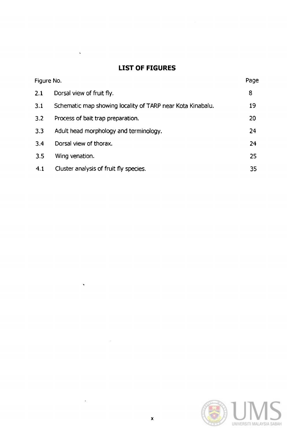# **LIST OF FIGURES**

 $\bar{\mathbf{v}}$ 

 $\ddot{\phantom{0}}$ 

 $\ddot{\phantom{a}}$ 

 $\mathcal{A}$ 

|     | Figure No.                                                 | Page |
|-----|------------------------------------------------------------|------|
| 2.1 | Dorsal view of fruit fly.                                  | 8    |
| 3.1 | Schematic map showing locality of TARP near Kota Kinabalu. | 19   |
| 3.2 | Process of bait trap preparation.                          | 20   |
| 3.3 | Adult head morphology and terminology.                     | 24   |
| 3.4 | Dorsal view of thorax.                                     | 24   |
| 3.5 | Wing venation.                                             | 25   |
| 4.1 | Cluster analysis of fruit fly species.                     | 35   |

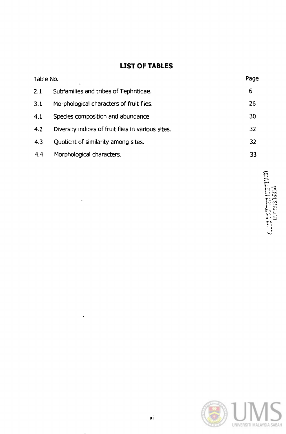# **LIST OF TABLES**

| Table No. | $\blacksquare$                                     | Page |
|-----------|----------------------------------------------------|------|
| 2.1       | Subfamilies and tribes of Tephritidae.             | 6    |
| 3.1       | Morphological characters of fruit flies.           | 26   |
| 4.1       | Species composition and abundance.                 | 30   |
| 4.2       | Diversity indices of fruit flies in various sites. | 32   |
| 4.3       | Quotient of similarity among sites.                | 32   |
| 4.4       | Morphological characters.                          | 33   |

 $\ddot{\phantom{0}}$ 

 $\ddot{\phantom{a}}$ 

Alban Harry Hamilton, 1983<br>Alban Harry Hamilton, 1983

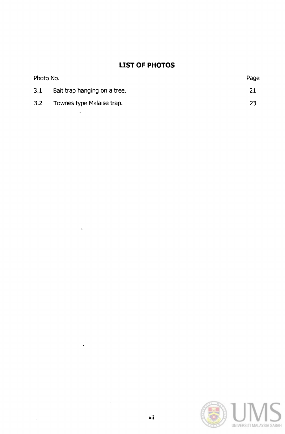# **LIST OF PHOTOS**

| Photo No. |                              | Page |
|-----------|------------------------------|------|
| 3.1       | Bait trap hanging on a tree. | 21   |
| 3.2       | Townes type Malaise trap.    | フス   |

 $\ddot{\phantom{a}}$ 

 $\ddot{\phantom{0}}$ 

 $\ddot{\phantom{0}}$ 

 $\bar{z}$ 

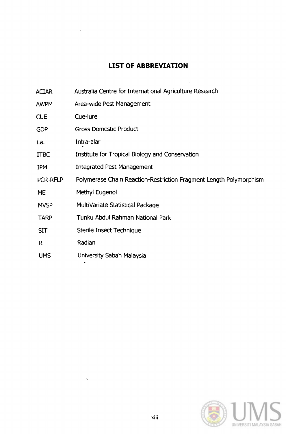# **LIST OF ABBREVIATION**

| ACIAR | Australia Centre for International Agriculture Research |
|-------|---------------------------------------------------------|
|-------|---------------------------------------------------------|

- AWPM Area-wide Pest Management
- CUE Cue-lure
- GDP Gross Domestic Product
- La. Intra-alar
- ITBC Institute for Tropical Biology and Conservation
- IPM Integrated Pest Management
- PCR-RFLP Polymerase Chain Reaction-Restriction Fragment Length Polymorphism
- ME Methyl Eugenol
- **MVSP** MultiVariate Statistical Package
- TARP Tunku Abdul Rahman National Park
- SIT Sterile Insect Technique
- R Radian
- UMS University Sabah Malaysia

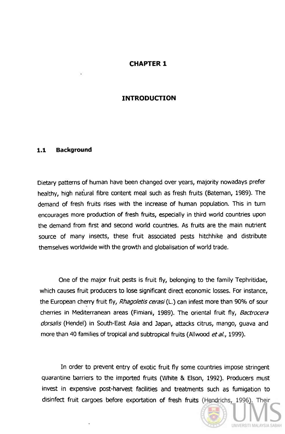#### **CHAPTER 1**

#### **INTRODUCTION**

#### **1.1 Background**

Dietary patterns of human have been changed over years, majority nowadays prefer healthy, high natural fibre content meal such as fresh fruits (Bateman, 1989). The demand of fresh fruits rises with the increase of human population. This in tum encourages more production of fresh fruits, especially in third world countries upon the demand from first and second world countries. As fruits are the main nutrient source of many insects, these fruit associated pests hitchhike and distribute themselves worldwide with the growth and globalisation of world trade.

One of the major fruit pests is fruit fly, belonging to the family Tephritidae, which causes fruit producers to lose significant direct economic losses. For instance, the European cherry fruit fly, Rhagoletis cerasi (L.) can infest more than 90% of sour cherries in Mediterranean areas (Fimiani, 1989). The oriental fruit fly, Bactrocera dorsalis (Hendel) in South-East Asia and Japan, attacks citrus, mango, guava and more than 40 families of tropical and subtropical fruits (Allwood et al., 1999).

In order to prevent entry of exotic fruit fly some countries impose stringent quarantine barriers to the imported fruits (White & Elson, 1992). Producers must invest in expensive post-harvest facilities and treatments such as fumigation to disinfect fruit cargoes before exportation of fresh fruits (Hendrichs, 1996). Their

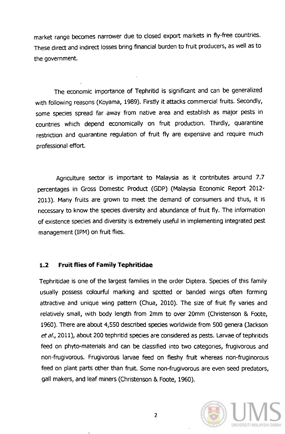market range becomes narrower due to closed export markets in fly-free countries. These direct and indirect losses bring financial burden to fruit producers, as well as to the government.

The economic importance of Tephritid is significant and can be generalized with following reasons (Koyama, 1989). Firstly it attacks commercial fruits. Secondly, some species spread far away from native area and establish as major pests in countries which depend economically on fruit production. Thirdly, quarantine restriction and quarantine regulation of fruit fly are expensive and require much professional effort.

Agriculture sector is important to Malaysia as it contributes around 7.7 percentages in Gross Domestic Product (GDP) (Malaysia Economic Report 2012- 2013). Many fruits are grown to meet the demand of consumers and thus, it is necessary to know the species diversity and abundance of fruit fly. The information of existence species and diversity is extremely useful in implementing integrated pest management (IPM) on fruit flies.

#### **1.2 Fruit flies of Family Tephritidae**

Tephritidae is one of the largest families in the order Diptera. Species of this family usually possess colourful marking and spotted or banded wings often forming attractive and unique wing pattern (Chua, 2010). The size of fruit fly varies and relatively small, with body length from 2mm to over 20mm (Christenson & Foote, 1960). There are about 4,550 described species worldwide from 500 genera (Jackson *et al.,* 2011), about 200 tephritid species are considered as pests. Larvae of tephritids feed on phyto-materials and can be classified into two categories, frugivorous and non-frugivorous. Frugivorous larvae feed on fleshy fruit whereas non-fruginorous feed on plant parts other than fruit. Some non-frugivorous are even seed predators, gall makers, and leaf miners (Christenson & Foote, 1960).

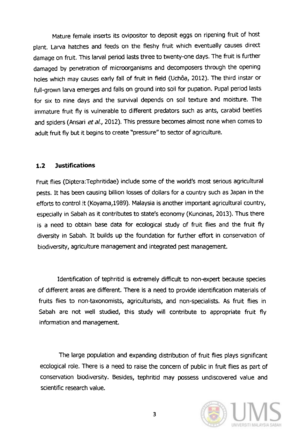Mature female inserts its ovipositor to deposit eggs on ripening fruit of host plant. Larva hatches and feeds on the fleshy fruit which eventually causes direct damage on fruit. This larval period lasts three to twenty-one days. The fruit is further damaged by penetration of microorganisms and decomposers through the opening holes which may causes early fall of fruit in field (Uchôa, 2012). The third instar or full-grown larva emerges and falls on ground into soil for pupation. Pupal period lasts for six to nine days and the survival depends on soil texture and moisture. The immature fruit fly is vulnerable to different predators such as ants, carabid beetles and spiders (Ansari et al., 2012). This pressure becomes almost none when comes to adult fruit fly but it begins to create "pressure" to sector of agriculture.

#### **1.2 Justifications**

Fruit flies (Diptera:Tephritidae) include some of the world's most serious agricultural pests. It has been causing billion losses of dollars for a country such as Japan in the efforts to control it (Koyama,1989). Malaysia is another important agricultural country, especially in Sabah as it contributes to state's economy (Kuncinas, 2013). Thus there is a need to obtain base data for ecological study of fruit flies and the fruit fly diversity in Sabah. It builds up the foundation for further effort in conservation of biodiversity, agriculture management and integrated pest management.

Identification of tephritid is extremely difficult to non-expert because species of different areas are different. There is a need to provide identification materials of fruits flies to non-taxonomists, agriculturists, and non-specialists. As fruit flies in Sabah are not well studied, this study will contribute to appropriate fruit fly information and management.

The large population and expanding distribution of fruit flies plays significant ecological role. There is a need to raise the concern of public in fruit flies as part of conservation biodiversity. Besides, tephritid may possess undiscovered value and SCientific research value.

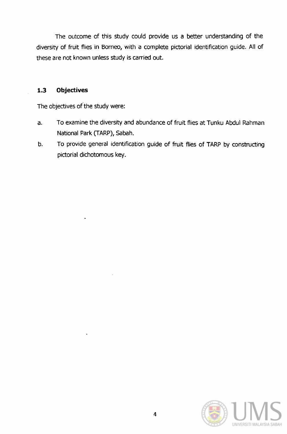The outcome of this study could provide us a better understanding of the diversity of fruit flies in Borneo, with a complete pictorial identification guide. All of these are not known unless study is carried out.

#### **1.3 Objectives**

The objectives of the study were:

- a. To examine the diversity and abundance of fruit flies at Tunku Abdul Rahman National Park (TARP), Sabah.
- b. To provide general identification guide of fruit flies of TARP by constructing pictorial dichotomous key.

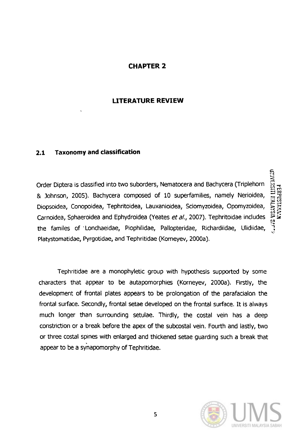# **CHAPTER 2**

#### **LITERATURE REVIEW**

#### **2.1 Taxonomy and classification**

Order Diptera is classified into two suborders, Nematocera and Bachycera (Triplehorn & Johnson, 2005). Bachycera composed of 10 superfamilies, namely Nerioidea, Diopsoidea, Conopoidea, Tephritoidea, Lauxanioidea, Sciomyzoidea, Opomyzoidea, Carnoidea, Sphaeroidea and Ephydroidea (Yeates et al., 2007). Tephritoidae includes the familes of' Lonchaeidae, Piophilidae, Pallopteridae, Richardiidae, Ulidiidae, Platystomatidae, Pyrgotidae, and Tephritidae (Komeyev, 2000a).

Tephritidae are a monophyletic group with hypothesis supported by some characters that appear to be autapomorphies (Korneyev, 2000a). Firstly, the development of frontal plates appears to be prolongation of the parafacialon the frontal surface. Secondly, frontal setae developed on the frontal surface. It is always much longer than surrounding setulae. Thirdly, the costal vein has a deep constriction or a break before the apex of the subcostal vein. Fourth and lastly, two or three costal spines with enlarged and thickened setae guarding such a break that appear to be a synapomorphy of Tephritidae.



**UNIVERSITI RIALAYSIN SMT** PERPUSTAKACH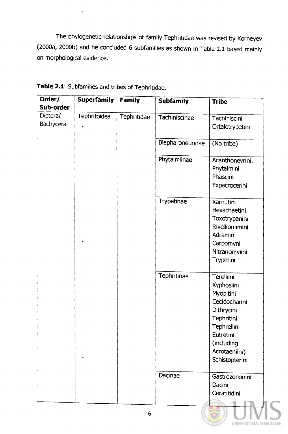The phylogenetic relationships of family Tephritidae was revised by Korneyev (2000a, 2000b) and he concluded 6 subfamilies as shown in Table 2.1 based mainly on morphological evidence.

| Order/    | <b>Superfamily</b> | <b>Family</b> | <b>Subfamily</b> | <b>Tribe</b>           |
|-----------|--------------------|---------------|------------------|------------------------|
| Sub-order |                    |               |                  |                        |
| Diptera/  | Tephritoidea       | Tephritidae   | Tachiniscinae    | Tachiniscini           |
| Bachycera |                    |               |                  | Ortalotrypetini        |
|           |                    |               |                  |                        |
|           |                    |               | Blepharoneurinae | (No tribe)             |
|           |                    |               |                  |                        |
|           |                    |               | Phytalmiinae     | Acanthonevrini,        |
|           |                    |               |                  | Phytalmini<br>Phascini |
|           |                    |               |                  | Expacrocerini          |
|           |                    |               |                  |                        |
|           |                    |               | Trypetinae       | Xarnutini              |
|           |                    |               |                  | Hexachaetini           |
|           |                    |               |                  | Toxotrypanini          |
|           |                    |               |                  | Rivelliomimini         |
|           |                    |               |                  | Adramin                |
|           |                    |               |                  | Carpomyni              |
|           |                    |               |                  | Nitrariomyiini         |
|           |                    |               |                  | Trypetini              |
|           |                    |               | Tephritinae      | Terelliini             |
|           |                    |               |                  | Xyphosiini             |
|           |                    |               |                  | Myopitini              |
|           |                    |               |                  | Cecidocharini          |
|           |                    |               |                  | Dithrycini             |
|           |                    |               |                  | <b>Tephritini</b>      |
|           |                    |               |                  | Tephrellini            |
|           |                    |               |                  | Eutretini              |
|           |                    |               |                  | (including             |
|           |                    |               |                  | Acrotaeniini)          |
|           |                    |               |                  | Schistopterini         |
|           |                    |               |                  |                        |
|           |                    |               | Dacinae          | Gastrozononini         |
|           |                    |               |                  | Dacini                 |
|           |                    |               |                  | Ceratitidini           |
|           |                    |               |                  |                        |

| Table 2.1: Subfamilies and tribes of Tephritidae. |  |
|---------------------------------------------------|--|
|---------------------------------------------------|--|

 $\hat{\mathbf{v}}$ 

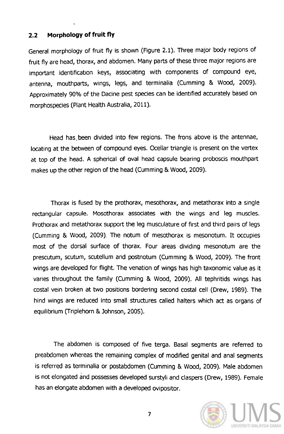#### **2.2 Morphology of fruit fly**

General morphology of fruit fly is shown (Figure 2.1). Three major body regions of fruit fly are head, thorax, and abdomen. Many parts of these three major regions are important identification keys, associating with components of compound eye, antenna, mouthparts, wings, legs, and terminalia (Cumming & Wood, 2009). Approximately 90% of the Dacine pest species can be identified accurately based on morphospecies (Plant Health Australia, 2011).

Head has, been divided into few regions. The frons above is the antennae, locating at the between of compound eyes. Ocellar triangle is present on the vertex at top of the head. A spherical of oval head capsule bearing proboscis mouthpart makes up the other region of the head (Cumming & Wood, 2009).

Thorax is fused by the prothorax, mesothorax, and metathorax into a single rectangular capsule. Mosothorax associates with the wings and leg muscles. Prothorax and metathorax support the leg musculature of first and third pairs of legs (Cumming & Wood, 2009). The notum of mesothorax is mesonotum. It occupies most of the dorsal surface of thorax. Four areas dividing mesonotum are the prescutum, scutum, scutellum and postnotum (Cumming & Wood, 2009). The front wings are developed for flight. The venation of wings has high taxonomic value as it varies throughout the family (Cumming & Wood, 2009). All tephritids wings has costal vein broken at two positions bordering second costal cell (Drew, 1989). The hind wings are reduced into small structures called halters which act as organs of equilibrium (Triplehorn & Johnson, 2005).

The abdomen is composed of five terga. Basal segments are referred to preabdomen whereas the remaining complex of modified genital and anal segments is referred as terminalia or postabdomen (Cumming & Wood, 2009). Male abdomen is not elongated and possesses developed surstyli and claspers (Drew, 1989). Female has an elongate abdomen with a developed ovipositor.



7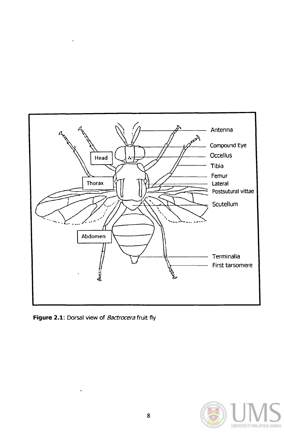

**Figure 2.1:** Dorsal view of *Bactrocera* fruit fly

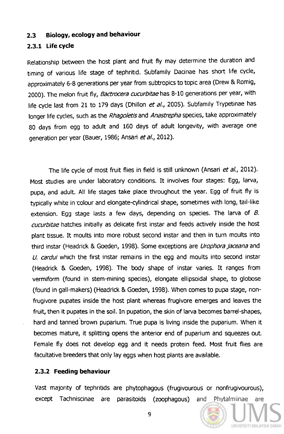#### **2.3 Biology, ecology and behaviour**

#### **2.3.1 Life cycle**

Relationship between the host plant and fruit fly may determine the duration and timing of various life stage of tephritid. Subfamily Dacinae has short life cycle, approximately 6-8 generations per year from subtropics to topic area (Drew & Romig, 2000). The melon fruit fly, Bactrocera cucurbitae has 8-10 generations per year, with life cycle last from 21 to 179 days (Dhillon et al., 2005). Subfamily Trypetinae has longer life cycles, such as the Rhagoletis and Anastrepha species, take approximately 80 days from egg to adult and 160 days of adult longevity, with average one generation per year (Bauer, 1986; Ansari et al., 2012).

The life cycle of most fruit flies in field is still unknown (Ansari et al., 2012). Most studies are under laboratory conditions. It involves four stages: Egg, larva, pupa, and adult. All life stages take place throughout the year. Egg of fruit fly is typically white in 'Colour and elongate-cylindrical shape, sometimes with long, tail-like extension. Egg stage lasts a few days, depending on species. The larva of  $B$ . cucurbitae hatches initially as delicate first instar and feeds actively inside the host plant tissue. It moults into more robust second instar and then in tum moults into third instar (Headrick & Goeden, 1998). Some exceptions are *Urophora jaceana* and U. cardui which the first instar remains in the egg and moults into second instar (Headrick & Goeden, 1998). The body shape of instar varies. It ranges from vermiform (found in stem-mining species), elongate ellipsoidal shape, to globose (found in gall-makers) (Headrick & Goeden, 1998). When comes to pupa stage, nonfrugivore pupates inside the host plant whereas frugivore emerges and leaves the fruit, then it pupates in the soil. In pupation, the skin of larva becomes barrel-shapes, hard and tanned brown puparium. True pupa is living inside the puparium. When it becomes mature, it splitting opens the anterior end of puparium and squeezes out. Female fly does not develop egg and it needs protein feed. Most fruit flies are facultative breeders that only lay eggs when host plants are available.

#### **2.3.2 Feeding behaviour**

Vast majority of tephritids are phytophagous (frugivourous or nonfrugivourous), except Tachniscinae are parasitoids (zoophagous) and Phytalmiinae are

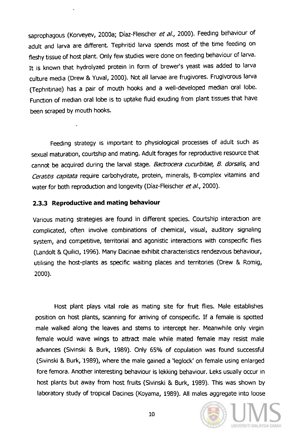saprophagous (Korveyev, 2000a; Díaz-Fleischer et al., 2000). Feeding behaviour of adult and larva are different. Tephritid larva spends most of the time feeding on fleshy tissue of host plant. Only few studies were done on feeding behaviour of larva. It is known that hydrolyzed protein in form of brewer's yeast was added to larva culture media (Drew & Yuval, 2000). Not all larvae are frugivores. Frugivorous larva (Tephritinae) has a pair of mouth hooks and a well-developed median oral lobe. Function of median oral lobe is to uptake fluid exuding from plant tissues that have been scraped by mouth hooks.

Feeding strategy is important to physiological processes of adult such as sexual maturation, courtship and mating. Adult forages for reproductive resource that cannot be acquired during the larval stage. Bactrocera cucurbitae, B. dorsalis, and Ceratitis capitata require carbohydrate, protein, minerals, B-complex vitamins and water for both reproduction and longevity (Díaz-Fleischer et al., 2000).

#### **2.3.3 Reproductive and mating behaviour**

 $\ddot{\phantom{1}}$ 

Various mating strategies are found in different species. Courtship interaction are complicated, often involve combinations of chemical, visual, auditory Signaling system, and competitive, territorial and agonistic interactions with conspecific flies (Landolt & Quilici, 1996). Many Dacinae exhibit characteristics rendezvous behaviour, utilising the host-plants as specific waiting places and territories (Drew & Romig, 2000).

Host plant plays vital role as mating site for fruit flies. Male establishes position on host plants, scanning for arriving of conspecific. If a female is spotted male walked along the leaves and stems to intercept her. Meanwhile only virgin female would wave wings to attract male while mated female may resist male advances (Sivinski & Burk, 1989). Only 65% of copulation was found successful (Sivinski & Burk, '1989), where the male gained a 'Ieglock' on female using enlarged fore femora. Another interesting behaviour is lekking behaviour. Leks usually occur in host plants but away from host fruits (Sivinski & Burk, 1989). This was shown by laboratory study of tropical Dacines (Koyama, 1989). All males aggregate into loose

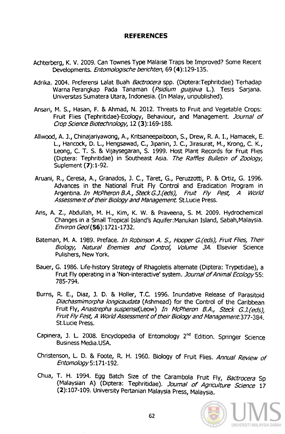#### **REFERENCES**

- Achterberg, K. V. 2009. can Townes Type Malaise Traps be Improved? Some Recent Developments. Entomologische berichten, 69 (4):129-135.
- Adrika. 2004. Preferensi Lalat Buah Bactrocera spp. (Diptera:Tephritidae) Terhadap Warna Perangkap Pada Tanaman (Psidium quajava L.). Tesis Sarjana. Universitas Sumatera Utara, Indonesia. (In Malay, unpublished).
- Ansari, M. S., Hasan, F. & Ahmad, N. 2012. Threats to Fruit and Vegetable Crops: Fruit Flies (Tephritidae)-Ecology, Behaviour, and Management. Journal of Crop Science Biotechnology, 12 (3): 169-188.
- Allwood, A. J., Chinajariyawong, A., Kritsaneepaiboon, S., Drew, R. A. I., Hamacek, E. L., Hancock, D. L., Hengsawad, C., Jipanin, J. C., Jirasurat, M., Krong, C. K., Leong, C. T. S. & Vijaysegaran, S. 1999. Host Plant Records for Fruit Flies (Diptera: Tephritidae) in Southeast Asia. The Raffles Bulletin of Zoology, Suplement (7): 1-92.
- Aruani, R., Ceresa, A., Granados, J. C., Taret, G., Peruzzotti, P. & Ortiz, G. 1996. Advances in the National Fruit Fly Control and Eradication Program in Argentina. In McPheron B.A., Steck G.J.(eds), Fruit Fly Pest, A World Assessment of their Biology and Management. St.Lucie Press.
- Aris, A. Z., Abdullah, M. H., Kim, K. W. & Praveena, S. M. 2009. Hydrochemical Changes in a Small Tropical Island's Aquifer:Manukan Island, Sabah,Malaysia. Environ Geol(56):1721-1732.
- Bateman, M. A. 1989. Preface. In Robinson A. S., Hooper G.(eds), Fruit Flies, Their Biology, Natural Enemies and Control, Volume JA. Elsevier Science Pulishers, New York.
- Bauer, G. 1986. Life-history Strategy of Rhagoletis alternate (Diptera: Trypetidae), a Fruit Fly operating in a 'Non-interactive' system. Journal of Animal Ecology 55: 785-794.
- Burns, R. E., Diaz, J. D. & Holler, T.C. 1996. Inundative Release of Parasitoid Diachasmimorpha longicaudata (Ashmead) for the Control of the Caribbean Fruit Fly, Anastrepha suspense(Leow) In McPheron B.A., Steck G.J.(eds), Fruit Fly Pest, A World Assessment of their Biology and Management 377 -384. St. Lucie Press.
- Capinera, J. L. 2008. Encyclopedia of Entomology 2<sup>nd</sup> Edition. Springer Science BUSiness Media.USA.
- Christenson, L. D. & Foote, R. H. 1960. Biology of Fruit Flies. Annual Review of Entomology 5: 171-192.
- Chua, T. H. 1994. Egg Batch Size of the Carambola Fruit Fly, Bactrocera Sp (Malaysian A) (Diptera: Tephritidae). Journal of Agriculture Science 17 (2):107-109. University Pertanian Malaysia Press, Malaysia.

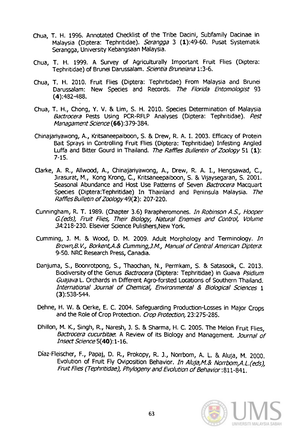- Chua, T. H. 1996. Annotated Checklist of the Tribe Dacini, Subfamily Dacinae in Malaysia (Diptera: Tephritidae). Serangga 3 (1):49-60. Pusat Systematik Serangga, University Kebangsaan Malaysia.
- Chua, T. H. 1999. A Survey of Agriculturally Important Fruit Flies (Diptera: Tephritidae) of Brunei Darussalam. Scientia Bruneiana 1:3-6.
- Chua, T. H. 2010. Fruit Flies (Diptera: Tephritidae) From Malaysia and Brunei Darussalam: New Species and Records. The Florida Entomologist 93 (4):482-488.
- Chua, T. H., Chong, Y. V. & lim, S. H. 2010. Species Determination of Malaysia Bactrocera Pests Using PCR-RFLP Analyses (Diptera: Tephritidae). Pest Managament Science (66):379-384.
- Chinajariyawong, A., Kritsaneepaiboon, S. & Drew, R. A. 1. 2003. Efficacy of Protein Bait Sprays in Controlling Fruit Flies (Diptera: Tephritidae) Infesting Angled Luffa and Bitter Gourd in Thailand. The Raffles Bullentin of Zoology 51 (1): 7-15.
- Clarke, A. R., Allwood, A., Chinajariyawong, A., Drew, R. A. I., Hengsawad, C., Jirasurat, M., Kong Krong, C., Kritsaneepaiboon, S. & Vijaysegaran, S. 2001. Seasonal Abundance and Host Use Patterns of Seven Bactrocera Macquart Species (Diptera:Tephritidae) In Thainland and Peninsula Malaysia. The Raffles Bulletin of Zoology 49(2): 207-220.
- Cunningham, R. T. 1989. (Chapter 3.6) Parapheromones. In Robinson A.S., Hooper G.(eds), Fruit Flies, Their Biology, Natural Enemies and Control, Volume JA:218-230. Elsevier Science Pulishers,New York.
- Cumming, J. M. & Wood, D. M. 2009. Adult Morphology and Terminology. In Brown,B. *v.,* Borkent,A.& Cumming,J.M., Manual of Central American Diptera: 9-50. NRC Research Press, canadia.
- Danjuma, S., Boonrotpong, 5., Thaochan, N., Permkam, S. & Satasook, C. 2013. Biodiversity of the Genus *Bactrocera* (Diptera: Tephritidae) in Guava *Psidium* Guajava L. Orchards in Different Agro-forsted Locations of Southern Thailand. International Journal of Chemical, Environmental & Biological Sciences 1 (3):538-544.
- Dehne, H. W. & Oerke, E. C. 2004. Safeguarding Production-Losses in Major Crops and the Role of Crop Protection. Crop Protection, 23:275-285.
- Dhillon, M. K, Singh, R., Naresh, J. S. & Sharma, H. C. 2005. The Melon Fruit Flies, Bactrocera cucurbitae. A Review of its Biology and Management. Journal of Insect Science 5(40): 1-16.
- Diaz-Fleischer, F., Papaj, D. R, Prokopy, R. J., Norrbom, A. L. & Aluja, M. 2000. Evolution of Fruit Fly Oviposition Behavior. In Aluja,M.& Norrbom,A.L.(eds), Fruit Flies (Tephritidae), Phylogeny and Evolution of Behavior: 811-841.

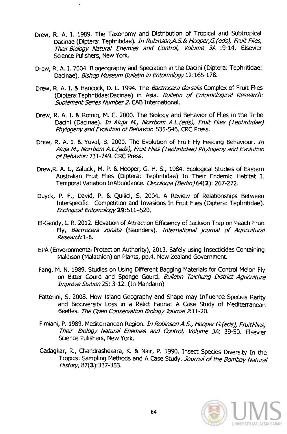- Drew, R. A. I. 1989. The Taxonomy and Distribution of Tropical and Subtropical Dacinae (Diptera: Tephritidae). In Robinson, A.S.& Hooper, G.(eds), Fruit Flies, Their Biology Natural Enemies and Control, Volume 3A :9-14. Elsevier Science Pulishers, New York.
- Drew, R. A. 1. 2004. Biogeography and Speciation in the Dacini (Diptera: Tephritidae: Dacinae). Bishop Museum Bulletin in Entomology 12:165-178.
- Drew, R. A. I. & Hancock, D. L. 1994. The Bactrocera dorsalis Complex of Fruit Flies (Diptera:Tephritidae:Dacinae) in Asia. Bulletin of Entomological Research: Suplement Series Number 2. CAB International.
- Drew, R. A. I. & Romig, M. C. 2000. The Biology and Behavior of Flies in the Tribe Dacini (Dacinae). In Aluja M., Norrbom A.L.(eds), Fruit Flies (Tephritidae) Phylogeny and Evolution of Behavior. 535-546. CRC Press.
- Drew, R. A. I. & Yuval, B. 2000. The Evolution of Fruit Fly Feeding Behaviour. In Aluja M., Norrbom A.L.(eds}, Fruit Flies {Tephritidae} Phylogeny and Evolution of Behavior: 731-749. CRC Press.
- Drew,R. A. I., Zalucki, M. P. & Hooper, G. H. S., 1984. Ecological Studies of Eastern Australian Fruit Flies (Diptera: Tephritidae) In Their Endemic Habitat I. Temporal Variation InAbundance. Oecologia (Berlin) 64(2): 267-272.
- Duyck, P. F., David, P. & Quilici, S. 2004. A Review of Relationships Between Interspecific Competition and Invasions In Fruit Flies (Diptera: Tephritidae). Ecological Entomology 29: 511-520.
- EI-Gendy,1. R. 2012. Elevation of Attraction Efficiency of Jackson Trap on Peach Fruit Fly, Bactrocera zonata (Saunders). International journal of Agricultural Research: 1-8.
- EPA (Envoronmental Protection Authority), 2013. Safely using Insecticides Containing Maldison (Malathion) on Plants, pp.4. New Zealand Government.
- Fang, M. N. 1989. Studies on Using Different Bagging Materials for Control Melon Fly on Bitter Gourd and Sponge Gourd. Bulletin Taichung District Agriculture Improve Station 25: 3-12. (In Mandarin)
- Fattorini, S. 2008. How Island Geography and Shape may Influence Species Rarity and Biodiversity Loss in a Relict Fauna: A case Study of Mediterranean Beetles. The Open Conservation Biology Journal 2: 11-20.
- Fimiani, P. 1989. Mediterranean Region. In Robinson A.S., Hooper G.(eds), FruitFlies, Their Biology Natural Enemies and Control, Volume 3A: 39-50. Elsevier Science Pulishers, New York.
- Gadagkar, R., Chandrashekara, K. & Nair, P. 1990. Insect Species Diversity In the Tropics: Sampling Methods and A case Study. Journal of the Bombay Natural History, 87(3):337-353.

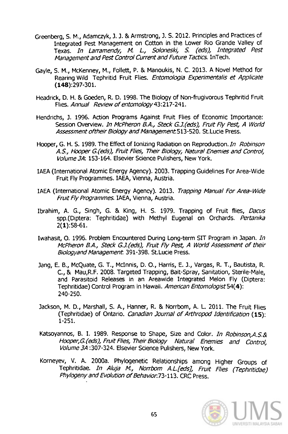- Greenberg, S. M., Adamczyk, J. J. & Armstrong, J. S. 2012. Principles and Practices of Integrated Pest Management on Cotton in the Lower Rio Grande Valley of Texas. In Larramendy, M. L., Soloneski, S. (eds), Integrated Pest Management and Pest Control Current and Future Tactics. InTech.
- Gayle, S. M., McKenney, M., Follett, P. & Manoukis, N. C. 2013. A Novel Method for Rearing Wild Tephritid Fruit Flies. Entomologia Experimentalis et Applicate (148):297-301.
- Headrick, D. H. & Goeden, R. D. 1998. The Biology of Non-frugivorous Tephritid Fruit Flies. Annual Review of entomology 43: 217-241.
- Hendrichs, J. 1996. Action Programs Against Fruit Flies of Economic Importance: Session Overview. In McPheron B.A., Steck G.J.(eds), Fruit Fly Pest, A World Assessment of their Biology and Management 513-520. St. Lucie Press.
- Hooper, G. H. S. 1989. The Effect of Ionizing Radiation on Reproduction. In Robinson A.S., Hooper G.(eds), Fruit Flies, Their Biology, Natural Enemies and Control, Volume 3A: 153-164. Elsevier Science Pulishers, New York.
- IAEA (International Atomic Energy Agency). 2003. Trapping Guidelines For Area-Wide Fruit Fly Programmes. IAEA, Vienna, Austria.
- IAEA (International Atomic Energy Agency). 2013. Trapping Manual For Area-Wide Fruit Fly Programmes. IAEA, Vienna, Austria.
- Ibrahim, A. G., Singh, G. & King, H. S. 1979. Trapping of Fruit flies, Dacus spp.(Diptera: Tephritidae) with Methyl Eugenal on Orchards. Pertanika 2(1):58-61.
- Iwahasit, O. 1996. Problem Encountered During Long-term SIT Program in Japan. In McPheron B.A., Steck G.J.(eds), Fruit Fly Pest, A World Assessment of their Biologyand Management. 391-398. St.Lucie Press.
- Jang, E. B., McQuate, G. T., McInnis, D. O., Harris, E. J., Vargas, R. T., Bautista, R. c., & Mau,R.F. 2008. Targeted Trapping, Bait-Spray, Sanitation, Sterile-Male, and Parasitoid Releases in an Areawide Integrated Melon Fly (Diptera: Tephritidae) Control Program in Hawaii. American Entomologist 54(4): 240-250.
- Jackson, M. D., Marshall, S. A., Hanner, R. & Norrbom, A. L. 2011. The Fruit Flies (Tephritidae) of Ontario. Canadian Journal of Arthropod Identification (15): 1-251.
- Katsoyannos, B. I. 1989. Response to Shape, Size and Color. In Robinson, A.S.& Hooper, G. (eds), Fruit Flies, Their Biology Natural Enemies and Control, Volume 3A: 307-324. Elsevier Science Pulishers, New York.
- Korneyev, V. A. 2000a. Phylogenetic Relationships among Higher Groups of Tephritidae. In Aluja M., Norrbom A.L.[eds], Fruit Flies (Tephritidae) Phylogeny and Evolution of Behavior.73-113. CRC Press.

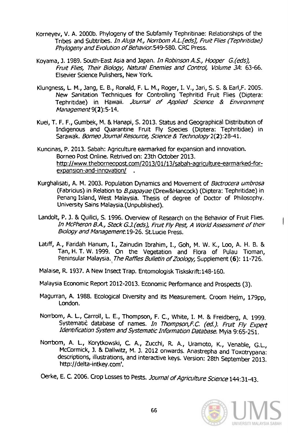- Korneyev, V. A. 2000b. Phylogeny of the Subfamily Tephritinae: Relationships of the Tribes and Subtribes. In Aluja M., Norrbom A.L.[eds], Fruit Flies (Tephritidae) Phylogeny and Evolution of Behavior. 549-580. CRC Press.
- Koyama, J. 1989. South-East Asia and Japan. In Robinson A.S., Hooper G.(eds), FrUit Flies, Their Biology, Natural Enemies and Control, Volume 3A: *63-66.*  Elsevier Science Pulishers, New York.
- Klungness, L. M., Jang, E. B., Ronald, F. L. M., Roger, I. V., Jari, S. S. & Earl, F. 2005. New Sanitation Techniques for Controlling Tephritid Fruit Flies (Diptera: Tephritidae) in Hawaii. .Journal *or* Applied Science & Environment Management 9(2): 5-14.
- Kuei, T. F. F., Gumbek, M. & Hanapi, S. 2013. Status and Geographical Distribution of Indigenous and Quarantine Fruit Fly Species (Diptera: Tephritidae) in Sarawak. Borneo Journal Resource, Science & Technology 2(2):28-41.
- Kuncinas, P. 2013. Sabah: Agriculture earmarked for expansion and innovation. Borneo Post Online. Retrived on: 23th October 2013. http://www.theborneopost.com/2013/01/13/sabah-agriculture-earmarked-forexoansion-and-innovation/ .
- Kurghalisati, A. M. 2003. Population Dynamics and Movement of Bactrocera umbrosa (Fabricius) in Relation to *B.papayae* (Drew&Hancock) (Diptera: Tephritidae) in Penang Island, West Malaysia. Thesis of degree of Doctor of Philosophy. University Sains Malaysia.(Unpublished).
- Landolt, P. J. & Quilici, S. 1996. Overview of Research on the Behavior of Fruit Flies. In McPheron B.A., Steck G.J. (eds), Fruit Fly Pest, A World Assessment of their Biology and Management 19-26. St. Lucie Press.
- Latiff, A., Faridah Hanum, 1., Zainudin Ibrahim, 1., Goh, M. W. K., Loo, A. H. B. & Tan, H. T. W. 1999. On the Vegetation and Flora of Pulau Tioman, Peninsular Malaysia. The Raffles Bulletin of Zoology, Supplement (6): 11-726.
- Malaise, R. 1937. A New Insect Trap. Entomologisk Tiskskrift:148-160.
- Malaysia Economic Report 2012-2013. Economic Performance and Prospects (3).
- Magurran, A. 1988. Ecological Diversity and its Measurement. Croom Helm, 179pp, London.
- Norrbom, A. L., Carroll, L. E., Thompson, F. c., White, 1. M. & Freidberg, A. 1999. Systematic database of names. In Thompson, F.C. (ed.). Fruit Fly Expert Identification System and Systematic Information Database. Myia 9:65-251.
- Norrbom, A. L, Korytkowski, C. A., Zucchi, R. A., Uramoto, K., Venable, G.L, McCormick, J. & Dallwitz, M. J. 2012 onwards. Anastrepha and Toxotrypana: descriptions, illustrations, and interactive keys. Version: 28th September 2013. http://delta-intkey.com'.

Oerke, E. C. 2006. Crop Losses to Pests. Joumal of Agriculture Science *144:31-43.* 

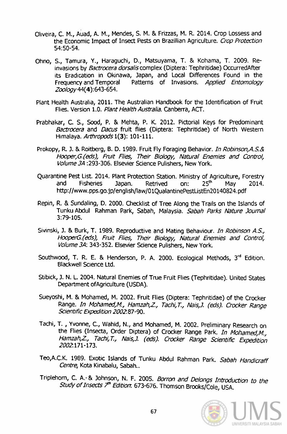- Oliveira, C. M., Auad, A. M., Mendes, S. M. & Frizzas, M. R. 2014. Crop Lossess and the Economic Impact of Insect Pests on Brazillian Agriculture. Crop Protection 54:50-54.
- Ohno, S., Tamura, Y., Haraguchi, D., Matsuyama, T. & Kohama, T. 2009. Reinvasions by Bactrocera dorsalis complex (Diptera: Tephritidae) OccurredAfter its Eradication in Okinawa, Japan, and Local Differences Found in the Frequency and Temporal Patterns of Invasions. Applied Entomology Zoology 44(4):643-654.
- Plant Health Australia, 2011. The Australian Handbook for the Identification of Fruit Flies. Version 1.0. Plant Health Australia. Canberra, ACT.
- Prabhakar, C. S., Sood, P. & Mehta, P. K. 2012. Pictorial Keys for Predominant Bactrocera and Dacus fruit flies (Diptera: Tephritidae) of North Western Himalaya. Arthropods 1(3): 101-111.
- Prokopy, R. J. & Roitberg, B. D. 1989. Fruit Fly Foraging Behavior. In Robinson, A.S.& Hooper,G.(eds), Fruit Flies, Their Biology, Natural Enemies and ContrOl, Volume 3A :293-306. Elsevier Science Pulishers, New York.
- Quarantine Pest List. 2014. Plant Protection Station. Ministry of Agriculture, Forestry and Fisheries Japan. Retrived on: 25<sup>th</sup> May 2014. http://www.pps.go.jp/english/law/01QualantinePestListEn20140824. pdf
- Repin, R. & Sundaling, D. 2000. Checklist of Tree Along the Trails on the Islands of Tunku Abdul Rahman Park, Sabah, Malaysia. Sabah Parks Nature Journal 3:79-105.
- Sivinski, J. & Burk, T. 1989. Reproductive and Mating Behaviour. In Robinson A.S., HooperG.(eds), Fruit Flies, Their Biology, Natural Enemies and Control, Volume 3A: 343-352. Elsevier Science Pulishers, New York.
- Southwood, T. R. E. & Henderson, P. A. 2000. Ecological Methods, 3<sup>rd</sup> Edition. Blackwell Science Ltd.
- Stibick, J. N. L. 2004. Natural Enemies of True Fruit Flies (Tephritidae). United States Department of Agriculture (USDA).
- Sueyoshi, M. & Mohamed, M. 2002. Fruit Flies (Diptera: Tephritidae) of the Crocker Range. In Mohamed,M., Hamzah,Z, Tachi, *T.,* Nais,J. (eds). Crocker Range Scientific Expedition 2002:87-90.
- Tachi, T. , Yvonne, c., Wahid, N., and Mohamed, M. 2002. Preliminary Research on the Flies (Insecta, Order Diptera) of Crocker Range Park. In Mohamed, M., Hamzah,Z., Tachi,T., Nais,J. (eds). Crocker Range Scientific Expedition 2002:171-173.
- Teo, A.C.K. 1989. Exotic Islands of Tunku Abdul Rahman Park. Sabah Handicraff Centre, Kota Kinabalu, Sabah..
- Triplehorn, C. A. & Johnson, N. F. 2005. Borron and Delongs Introduction to the Study of Insects 7<sup>th</sup> Edition: 673-676. Thomson Brooks/Cole, USA.